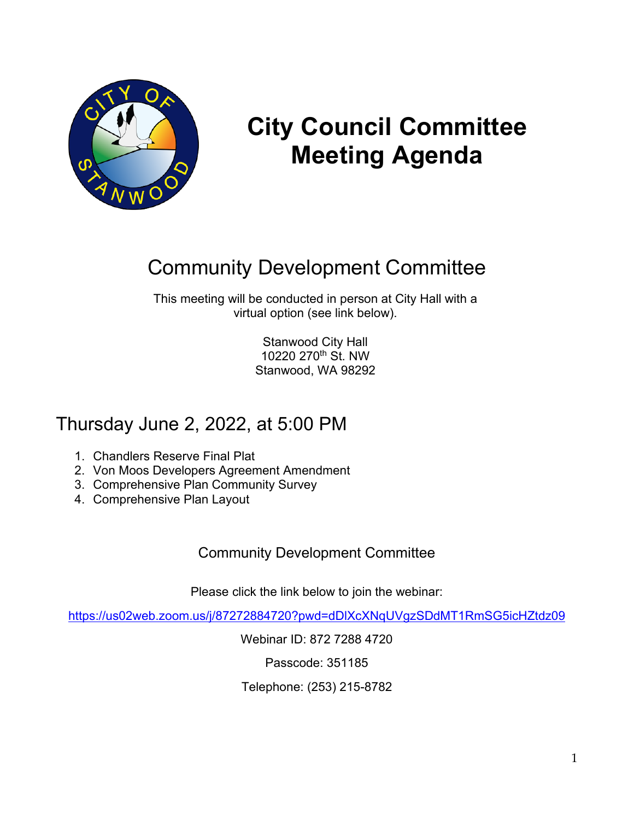

# **City Council Committee Meeting Agenda**

# Community Development Committee

This meeting will be conducted in person at City Hall with a virtual option (see link below).

> Stanwood City Hall 10220 270th St. NW Stanwood, WA 98292

## Thursday June 2, 2022, at 5:00 PM

- 1. Chandlers Reserve Final Plat
- 2. Von Moos Developers Agreement Amendment
- 3. Comprehensive Plan Community Survey
- 4. Comprehensive Plan Layout

## Community Development Committee

Please click the link below to join the webinar:

<https://us02web.zoom.us/j/87272884720?pwd=dDlXcXNqUVgzSDdMT1RmSG5icHZtdz09>

Webinar ID: 872 7288 4720

Passcode: 351185

Telephone: (253) 215-8782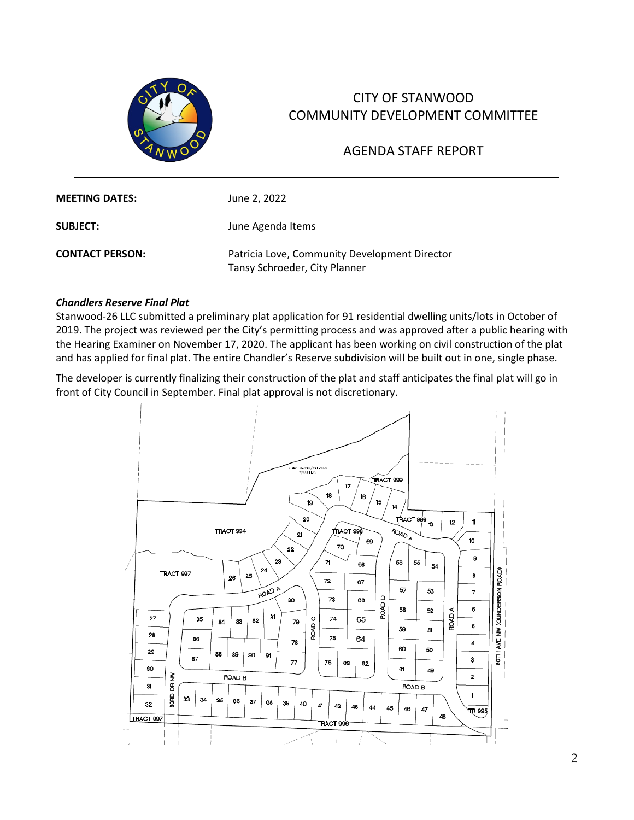

### CITY OF STANWOOD COMMUNITY DEVELOPMENT COMMITTEE

### AGENDA STAFF REPORT

| <b>MEETING DATES:</b>  | June 2, 2022                                                                   |
|------------------------|--------------------------------------------------------------------------------|
| <b>SUBJECT:</b>        | June Agenda Items                                                              |
| <b>CONTACT PERSON:</b> | Patricia Love, Community Development Director<br>Tansy Schroeder, City Planner |

#### *Chandlers Reserve Final Plat*

Stanwood-26 LLC submitted a preliminary plat application for 91 residential dwelling units/lots in October of 2019. The project was reviewed per the City's permitting process and was approved after a public hearing with the Hearing Examiner on November 17, 2020. The applicant has been working on civil construction of the plat and has applied for final plat. The entire Chandler's Reserve subdivision will be built out in one, single phase.

The developer is currently finalizing their construction of the plat and staff anticipates the final plat will go in front of City Council in September. Final plat approval is not discretionary.

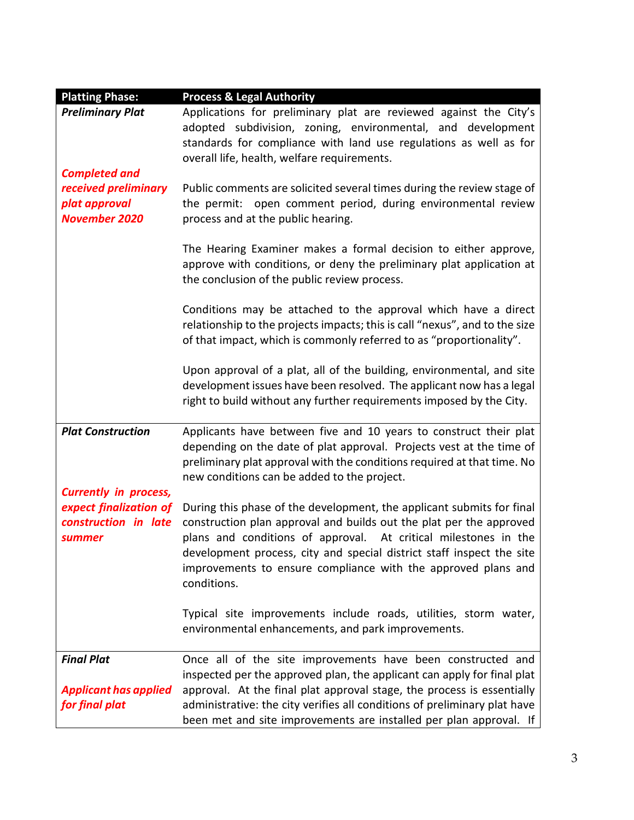| <b>Platting Phase:</b>       | <b>Process &amp; Legal Authority</b>                                        |
|------------------------------|-----------------------------------------------------------------------------|
| <b>Preliminary Plat</b>      | Applications for preliminary plat are reviewed against the City's           |
|                              | adopted subdivision, zoning, environmental, and development                 |
|                              | standards for compliance with land use regulations as well as for           |
|                              | overall life, health, welfare requirements.                                 |
| <b>Completed and</b>         |                                                                             |
| received preliminary         | Public comments are solicited several times during the review stage of      |
| plat approval                | open comment period, during environmental review<br>the permit:             |
| <b>November 2020</b>         | process and at the public hearing.                                          |
|                              |                                                                             |
|                              | The Hearing Examiner makes a formal decision to either approve,             |
|                              | approve with conditions, or deny the preliminary plat application at        |
|                              | the conclusion of the public review process.                                |
|                              |                                                                             |
|                              | Conditions may be attached to the approval which have a direct              |
|                              | relationship to the projects impacts; this is call "nexus", and to the size |
|                              | of that impact, which is commonly referred to as "proportionality".         |
|                              |                                                                             |
|                              | Upon approval of a plat, all of the building, environmental, and site       |
|                              | development issues have been resolved. The applicant now has a legal        |
|                              | right to build without any further requirements imposed by the City.        |
|                              |                                                                             |
| <b>Plat Construction</b>     | Applicants have between five and 10 years to construct their plat           |
|                              | depending on the date of plat approval. Projects vest at the time of        |
|                              | preliminary plat approval with the conditions required at that time. No     |
|                              | new conditions can be added to the project.                                 |
| <b>Currently in process,</b> |                                                                             |
| expect finalization of       | During this phase of the development, the applicant submits for final       |
| construction in late         | construction plan approval and builds out the plat per the approved         |
|                              |                                                                             |
| summer                       | plans and conditions of approval. At critical milestones in the             |
|                              | development process, city and special district staff inspect the site       |
|                              | improvements to ensure compliance with the approved plans and               |
|                              | conditions.                                                                 |
|                              |                                                                             |
|                              | Typical site improvements include roads, utilities, storm water,            |
|                              | environmental enhancements, and park improvements.                          |
|                              |                                                                             |
| <b>Final Plat</b>            | Once all of the site improvements have been constructed and                 |
|                              | inspected per the approved plan, the applicant can apply for final plat     |
| <b>Applicant has applied</b> | approval. At the final plat approval stage, the process is essentially      |
| for final plat               | administrative: the city verifies all conditions of preliminary plat have   |
|                              | been met and site improvements are installed per plan approval. If          |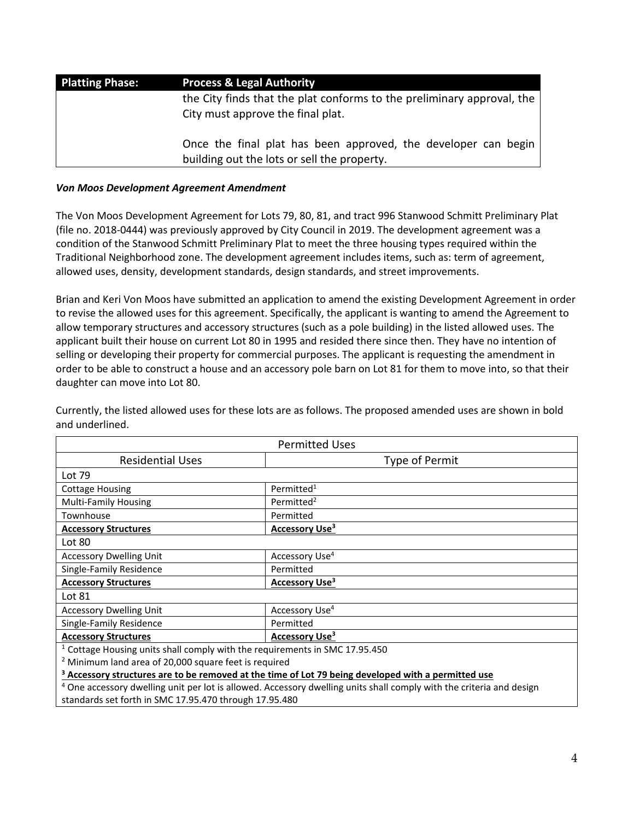| <b>Platting Phase:</b> | <b>Process &amp; Legal Authority</b>                                                                          |
|------------------------|---------------------------------------------------------------------------------------------------------------|
|                        | the City finds that the plat conforms to the preliminary approval, the                                        |
|                        | City must approve the final plat.                                                                             |
|                        | Once the final plat has been approved, the developer can begin<br>building out the lots or sell the property. |

#### *Von Moos Development Agreement Amendment*

The Von Moos Development Agreement for Lots 79, 80, 81, and tract 996 Stanwood Schmitt Preliminary Plat (file no. 2018-0444) was previously approved by City Council in 2019. The development agreement was a condition of the Stanwood Schmitt Preliminary Plat to meet the three housing types required within the Traditional Neighborhood zone. The development agreement includes items, such as: term of agreement, allowed uses, density, development standards, design standards, and street improvements.

Brian and Keri Von Moos have submitted an application to amend the existing Development Agreement in order to revise the allowed uses for this agreement. Specifically, the applicant is wanting to amend the Agreement to allow temporary structures and accessory structures (such as a pole building) in the listed allowed uses. The applicant built their house on current Lot 80 in 1995 and resided there since then. They have no intention of selling or developing their property for commercial purposes. The applicant is requesting the amendment in order to be able to construct a house and an accessory pole barn on Lot 81 for them to move into, so that their daughter can move into Lot 80.

| <b>Permitted Uses</b>                                                                                                           |                            |  |
|---------------------------------------------------------------------------------------------------------------------------------|----------------------------|--|
| <b>Residential Uses</b>                                                                                                         | Type of Permit             |  |
| Lot 79                                                                                                                          |                            |  |
| <b>Cottage Housing</b>                                                                                                          | Permitted <sup>1</sup>     |  |
| <b>Multi-Family Housing</b>                                                                                                     | Permitted <sup>2</sup>     |  |
| Townhouse                                                                                                                       | Permitted                  |  |
| <b>Accessory Structures</b>                                                                                                     | Accessory Use <sup>3</sup> |  |
| Lot 80                                                                                                                          |                            |  |
| <b>Accessory Dwelling Unit</b>                                                                                                  | Accessory Use <sup>4</sup> |  |
| Single-Family Residence                                                                                                         | Permitted                  |  |
| <b>Accessory Structures</b>                                                                                                     | Accessory Use <sup>3</sup> |  |
| Lot 81                                                                                                                          |                            |  |
| <b>Accessory Dwelling Unit</b>                                                                                                  | Accessory Use <sup>4</sup> |  |
| Single-Family Residence                                                                                                         | Permitted                  |  |
| <b>Accessory Structures</b>                                                                                                     | Accessory Use <sup>3</sup> |  |
| <sup>1</sup> Cottage Housing units shall comply with the requirements in SMC 17.95.450                                          |                            |  |
| <sup>2</sup> Minimum land area of 20,000 square feet is required                                                                |                            |  |
| <sup>3</sup> Accessory structures are to be removed at the time of Lot 79 being developed with a permitted use                  |                            |  |
| <sup>4</sup> One accessory dwelling unit per lot is allowed. Accessory dwelling units shall comply with the criteria and design |                            |  |

Currently, the listed allowed uses for these lots are as follows. The proposed amended uses are shown in bold and underlined.

One accessory dwelling unit per lot is allowed. Accessory dwelling units shall comply with the criteria and design standards set forth in SMC 17.95.470 through 17.95.480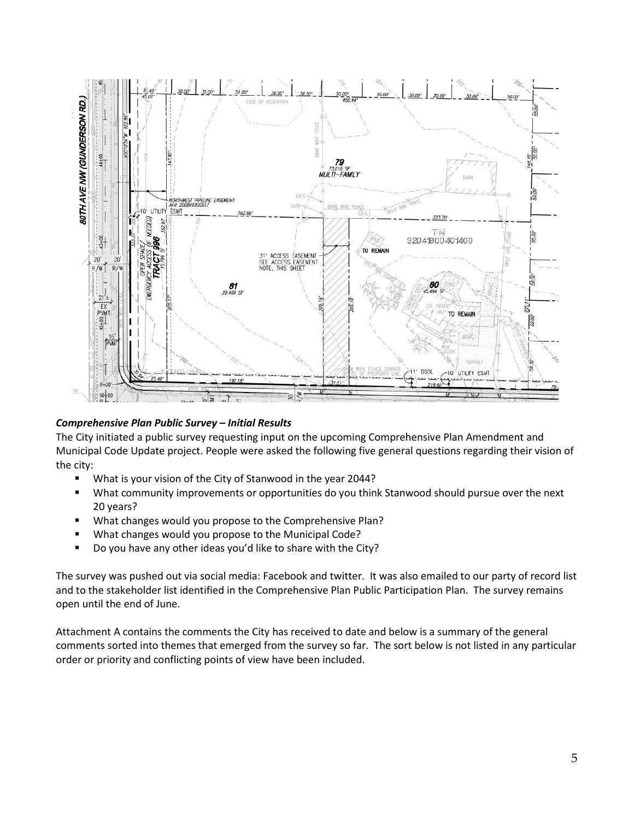

#### *Comprehensive Plan Public Survey – Initial Results*

The City initiated a public survey requesting input on the upcoming Comprehensive Plan Amendment and Municipal Code Update project. People were asked the following five general questions regarding their vision of the city:

- What is your vision of the City of Stanwood in the year 2044?
- What community improvements or opportunities do you think Stanwood should pursue over the next 20 years?
- **What changes would you propose to the Comprehensive Plan?**
- **What changes would you propose to the Municipal Code?**
- Do you have any other ideas you'd like to share with the City?

The survey was pushed out via social media: Facebook and twitter. It was also emailed to our party of record list and to the stakeholder list identified in the Comprehensive Plan Public Participation Plan. The survey remains open until the end of June.

Attachment A contains the comments the City has received to date and below is a summary of the general comments sorted into themes that emerged from the survey so far. The sort below is not listed in any particular order or priority and conflicting points of view have been included.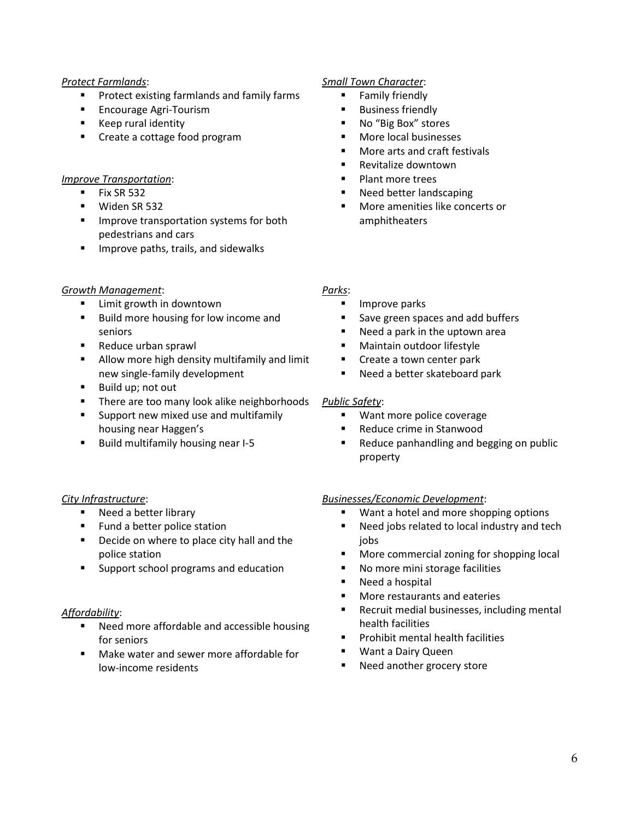#### *Protect Farmlands*:

- Protect existing farmlands and family farms
- **Encourage Agri-Tourism**
- **Keep rural identity**
- **Create a cottage food program**

#### *Improve Transportation*:

- $\blacksquare$  Fix SR 532
- **Widen SR 532**
- **IMPROVE transportation systems for both** pedestrians and cars
- **IMPROVE PARTS, trails, and sidewalks**

#### *Growth Management*:

- Limit growth in downtown
- **Build more housing for low income and** seniors
- Reduce urban sprawl
- **Allow more high density multifamily and limit** new single-family development
- **Build up; not out**
- **There are too many look alike neighborhoods**
- **Support new mixed use and multifamily** housing near Haggen's
- Build multifamily housing near I-5

#### *City Infrastructure*:

- Need a better library
- **Fund a better police station**
- Decide on where to place city hall and the police station
- **Support school programs and education**

#### *Affordability*:

- Need more affordable and accessible housing for seniors
- Make water and sewer more affordable for low-income residents

#### *Small Town Character*:

- **Family friendly**
- Business friendly
- No "Big Box" stores
- More local businesses
- More arts and craft festivals
- Revitalize downtown
- Plant more trees
- Need better landscaping
- More amenities like concerts or amphitheaters

#### *Parks*:

- Improve parks
- Save green spaces and add buffers
- Need a park in the uptown area
- Maintain outdoor lifestyle
- Create a town center park
- Need a better skateboard park

#### *Public Safety*:

- **Want more police coverage**
- Reduce crime in Stanwood
- Reduce panhandling and begging on public property

#### *Businesses/Economic Development*:

- Want a hotel and more shopping options
- Need jobs related to local industry and tech jobs
- **More commercial zoning for shopping local**
- No more mini storage facilities
- Need a hospital
- **Nore restaurants and eateries**
- Recruit medial businesses, including mental health facilities
- Prohibit mental health facilities
- **Want a Dairy Queen**
- Need another grocery store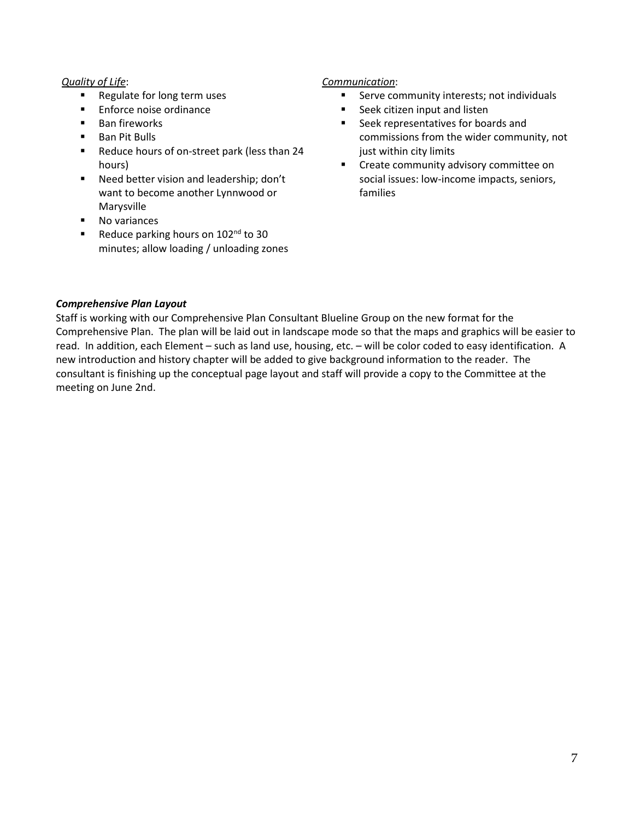#### *Quality of Life*:

- Regulate for long term uses
- **Enforce noise ordinance**
- Ban fireworks
- Ban Pit Bulls
- Reduce hours of on-street park (less than 24 hours)
- **Need better vision and leadership; don't** want to become another Lynnwood or Marysville
- **No variances**
- Reduce parking hours on  $102<sup>nd</sup>$  to 30 minutes; allow loading / unloading zones

#### *Communication*:

- **Serve community interests; not individuals**
- Seek citizen input and listen
- Seek representatives for boards and commissions from the wider community, not just within city limits
- Create community advisory committee on social issues: low-income impacts, seniors, families

#### *Comprehensive Plan Layout*

Staff is working with our Comprehensive Plan Consultant Blueline Group on the new format for the Comprehensive Plan. The plan will be laid out in landscape mode so that the maps and graphics will be easier to read. In addition, each Element – such as land use, housing, etc. – will be color coded to easy identification. A new introduction and history chapter will be added to give background information to the reader. The consultant is finishing up the conceptual page layout and staff will provide a copy to the Committee at the meeting on June 2nd.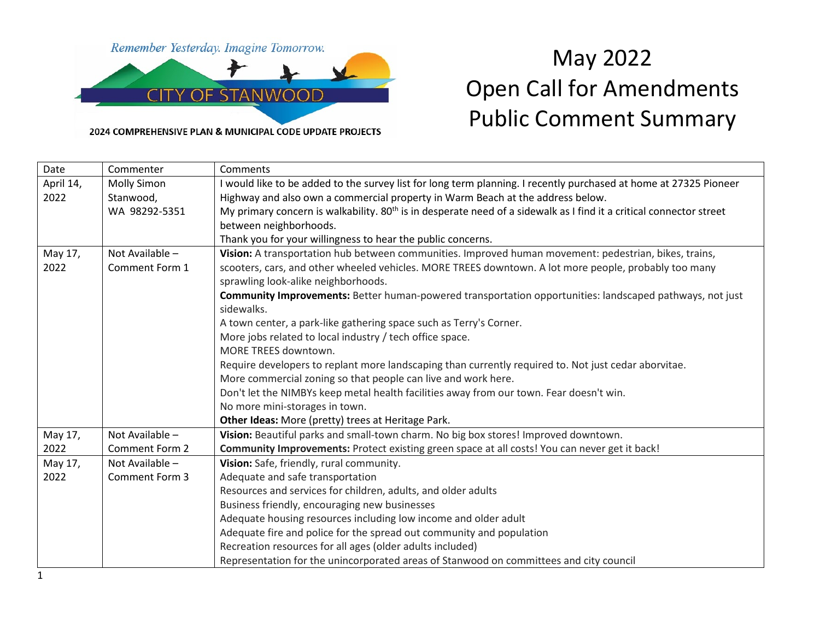

2024 COMPREHENSIVE PLAN & MUNICIPAL CODE UPDATE PROJECTS

# May 2022 Open Call for Amendments Public Comment Summary

| Date      | Commenter          | Comments                                                                                                                        |
|-----------|--------------------|---------------------------------------------------------------------------------------------------------------------------------|
| April 14, | <b>Molly Simon</b> | I would like to be added to the survey list for long term planning. I recently purchased at home at 27325 Pioneer               |
| 2022      | Stanwood,          | Highway and also own a commercial property in Warm Beach at the address below.                                                  |
|           | WA 98292-5351      | My primary concern is walkability. 80 <sup>th</sup> is in desperate need of a sidewalk as I find it a critical connector street |
|           |                    | between neighborhoods.                                                                                                          |
|           |                    | Thank you for your willingness to hear the public concerns.                                                                     |
| May 17,   | Not Available -    | Vision: A transportation hub between communities. Improved human movement: pedestrian, bikes, trains,                           |
| 2022      | Comment Form 1     | scooters, cars, and other wheeled vehicles. MORE TREES downtown. A lot more people, probably too many                           |
|           |                    | sprawling look-alike neighborhoods.                                                                                             |
|           |                    | Community Improvements: Better human-powered transportation opportunities: landscaped pathways, not just                        |
|           |                    | sidewalks.                                                                                                                      |
|           |                    | A town center, a park-like gathering space such as Terry's Corner.                                                              |
|           |                    | More jobs related to local industry / tech office space.                                                                        |
|           |                    | MORE TREES downtown.                                                                                                            |
|           |                    | Require developers to replant more landscaping than currently required to. Not just cedar aborvitae.                            |
|           |                    | More commercial zoning so that people can live and work here.                                                                   |
|           |                    | Don't let the NIMBYs keep metal health facilities away from our town. Fear doesn't win.                                         |
|           |                    | No more mini-storages in town.                                                                                                  |
|           |                    | Other Ideas: More (pretty) trees at Heritage Park.                                                                              |
| May 17,   | Not Available -    | Vision: Beautiful parks and small-town charm. No big box stores! Improved downtown.                                             |
| 2022      | Comment Form 2     | Community Improvements: Protect existing green space at all costs! You can never get it back!                                   |
| May 17,   | Not Available -    | Vision: Safe, friendly, rural community.                                                                                        |
| 2022      | Comment Form 3     | Adequate and safe transportation                                                                                                |
|           |                    | Resources and services for children, adults, and older adults                                                                   |
|           |                    | Business friendly, encouraging new businesses                                                                                   |
|           |                    | Adequate housing resources including low income and older adult                                                                 |
|           |                    | Adequate fire and police for the spread out community and population                                                            |
|           |                    | Recreation resources for all ages (older adults included)                                                                       |
|           |                    | Representation for the unincorporated areas of Stanwood on committees and city council                                          |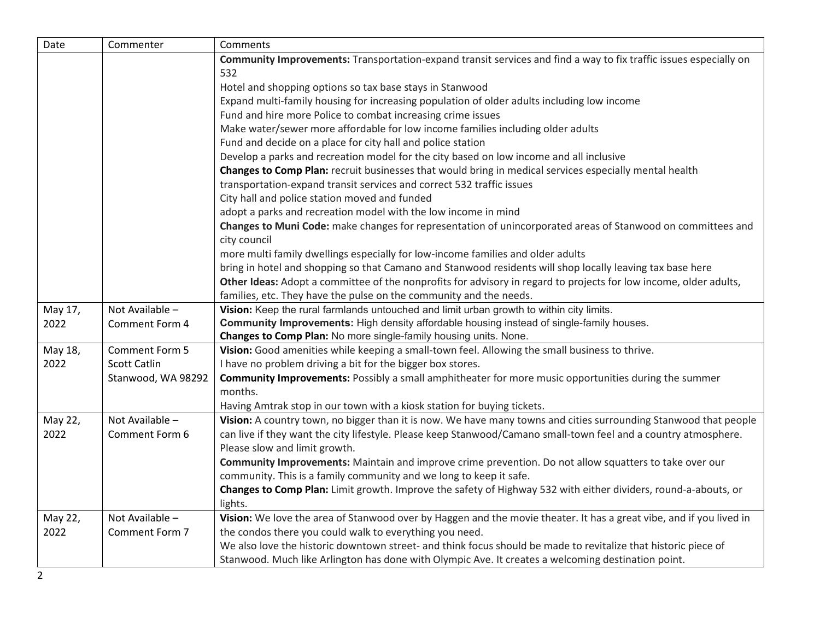| Date    | Commenter           | Comments                                                                                                            |
|---------|---------------------|---------------------------------------------------------------------------------------------------------------------|
|         |                     | Community Improvements: Transportation-expand transit services and find a way to fix traffic issues especially on   |
|         |                     | 532                                                                                                                 |
|         |                     | Hotel and shopping options so tax base stays in Stanwood                                                            |
|         |                     | Expand multi-family housing for increasing population of older adults including low income                          |
|         |                     | Fund and hire more Police to combat increasing crime issues                                                         |
|         |                     | Make water/sewer more affordable for low income families including older adults                                     |
|         |                     | Fund and decide on a place for city hall and police station                                                         |
|         |                     | Develop a parks and recreation model for the city based on low income and all inclusive                             |
|         |                     | Changes to Comp Plan: recruit businesses that would bring in medical services especially mental health              |
|         |                     | transportation-expand transit services and correct 532 traffic issues                                               |
|         |                     | City hall and police station moved and funded                                                                       |
|         |                     | adopt a parks and recreation model with the low income in mind                                                      |
|         |                     | Changes to Muni Code: make changes for representation of unincorporated areas of Stanwood on committees and         |
|         |                     | city council                                                                                                        |
|         |                     | more multi family dwellings especially for low-income families and older adults                                     |
|         |                     | bring in hotel and shopping so that Camano and Stanwood residents will shop locally leaving tax base here           |
|         |                     | Other Ideas: Adopt a committee of the nonprofits for advisory in regard to projects for low income, older adults,   |
|         |                     | families, etc. They have the pulse on the community and the needs.                                                  |
| May 17, | Not Available -     | Vision: Keep the rural farmlands untouched and limit urban growth to within city limits.                            |
| 2022    | Comment Form 4      | Community Improvements: High density affordable housing instead of single-family houses.                            |
|         |                     | Changes to Comp Plan: No more single-family housing units. None.                                                    |
| May 18, | Comment Form 5      | Vision: Good amenities while keeping a small-town feel. Allowing the small business to thrive.                      |
| 2022    | <b>Scott Catlin</b> | I have no problem driving a bit for the bigger box stores.                                                          |
|         | Stanwood, WA 98292  | Community Improvements: Possibly a small amphitheater for more music opportunities during the summer                |
|         |                     | months.                                                                                                             |
|         |                     | Having Amtrak stop in our town with a kiosk station for buying tickets.                                             |
| May 22, | Not Available -     | Vision: A country town, no bigger than it is now. We have many towns and cities surrounding Stanwood that people    |
| 2022    | Comment Form 6      | can live if they want the city lifestyle. Please keep Stanwood/Camano small-town feel and a country atmosphere.     |
|         |                     | Please slow and limit growth.                                                                                       |
|         |                     | Community Improvements: Maintain and improve crime prevention. Do not allow squatters to take over our              |
|         |                     | community. This is a family community and we long to keep it safe.                                                  |
|         |                     | Changes to Comp Plan: Limit growth. Improve the safety of Highway 532 with either dividers, round-a-abouts, or      |
|         |                     | lights.                                                                                                             |
| May 22, | Not Available -     | Vision: We love the area of Stanwood over by Haggen and the movie theater. It has a great vibe, and if you lived in |
| 2022    | Comment Form 7      | the condos there you could walk to everything you need.                                                             |
|         |                     | We also love the historic downtown street- and think focus should be made to revitalize that historic piece of      |
|         |                     | Stanwood. Much like Arlington has done with Olympic Ave. It creates a welcoming destination point.                  |
| 2       |                     |                                                                                                                     |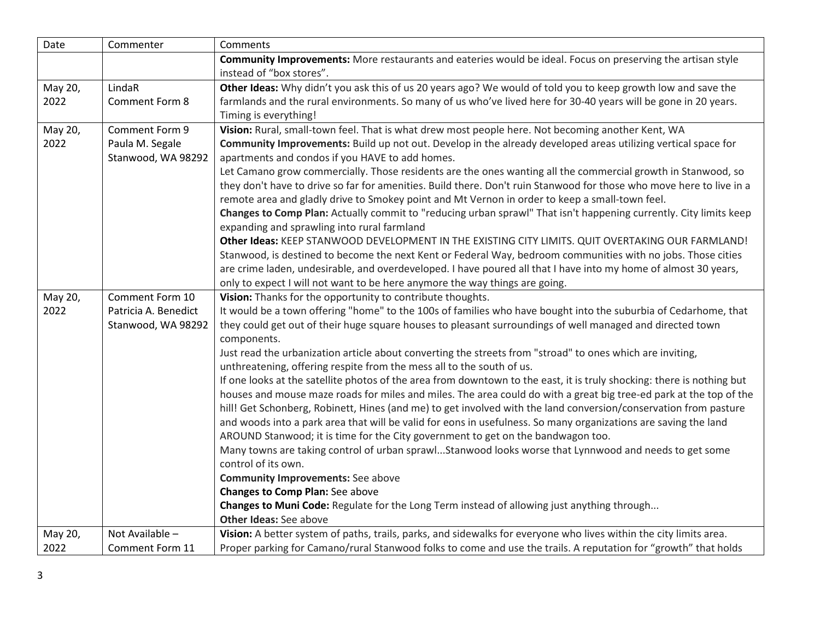| Date    | Commenter            | Comments                                                                                                                 |
|---------|----------------------|--------------------------------------------------------------------------------------------------------------------------|
|         |                      | Community Improvements: More restaurants and eateries would be ideal. Focus on preserving the artisan style              |
|         |                      | instead of "box stores".                                                                                                 |
| May 20, | LindaR               | Other Ideas: Why didn't you ask this of us 20 years ago? We would of told you to keep growth low and save the            |
| 2022    | Comment Form 8       | farmlands and the rural environments. So many of us who've lived here for 30-40 years will be gone in 20 years.          |
|         |                      | Timing is everything!                                                                                                    |
| May 20, | Comment Form 9       | Vision: Rural, small-town feel. That is what drew most people here. Not becoming another Kent, WA                        |
| 2022    | Paula M. Segale      | Community Improvements: Build up not out. Develop in the already developed areas utilizing vertical space for            |
|         | Stanwood, WA 98292   | apartments and condos if you HAVE to add homes.                                                                          |
|         |                      | Let Camano grow commercially. Those residents are the ones wanting all the commercial growth in Stanwood, so             |
|         |                      | they don't have to drive so far for amenities. Build there. Don't ruin Stanwood for those who move here to live in a     |
|         |                      | remote area and gladly drive to Smokey point and Mt Vernon in order to keep a small-town feel.                           |
|         |                      | Changes to Comp Plan: Actually commit to "reducing urban sprawl" That isn't happening currently. City limits keep        |
|         |                      | expanding and sprawling into rural farmland                                                                              |
|         |                      | Other Ideas: KEEP STANWOOD DEVELOPMENT IN THE EXISTING CITY LIMITS. QUIT OVERTAKING OUR FARMLAND!                        |
|         |                      | Stanwood, is destined to become the next Kent or Federal Way, bedroom communities with no jobs. Those cities             |
|         |                      | are crime laden, undesirable, and overdeveloped. I have poured all that I have into my home of almost 30 years,          |
|         |                      | only to expect I will not want to be here anymore the way things are going.                                              |
| May 20, | Comment Form 10      | Vision: Thanks for the opportunity to contribute thoughts.                                                               |
| 2022    | Patricia A. Benedict | It would be a town offering "home" to the 100s of families who have bought into the suburbia of Cedarhome, that          |
|         | Stanwood, WA 98292   | they could get out of their huge square houses to pleasant surroundings of well managed and directed town                |
|         |                      | components.<br>Just read the urbanization article about converting the streets from "stroad" to ones which are inviting, |
|         |                      | unthreatening, offering respite from the mess all to the south of us.                                                    |
|         |                      | If one looks at the satellite photos of the area from downtown to the east, it is truly shocking: there is nothing but   |
|         |                      | houses and mouse maze roads for miles and miles. The area could do with a great big tree-ed park at the top of the       |
|         |                      | hill! Get Schonberg, Robinett, Hines (and me) to get involved with the land conversion/conservation from pasture         |
|         |                      | and woods into a park area that will be valid for eons in usefulness. So many organizations are saving the land          |
|         |                      | AROUND Stanwood; it is time for the City government to get on the bandwagon too.                                         |
|         |                      | Many towns are taking control of urban sprawlStanwood looks worse that Lynnwood and needs to get some                    |
|         |                      | control of its own.                                                                                                      |
|         |                      | <b>Community Improvements:</b> See above                                                                                 |
|         |                      | Changes to Comp Plan: See above                                                                                          |
|         |                      | Changes to Muni Code: Regulate for the Long Term instead of allowing just anything through                               |
|         |                      | <b>Other Ideas: See above</b>                                                                                            |
| May 20, | Not Available -      | Vision: A better system of paths, trails, parks, and sidewalks for everyone who lives within the city limits area.       |
| 2022    | Comment Form 11      | Proper parking for Camano/rural Stanwood folks to come and use the trails. A reputation for "growth" that holds          |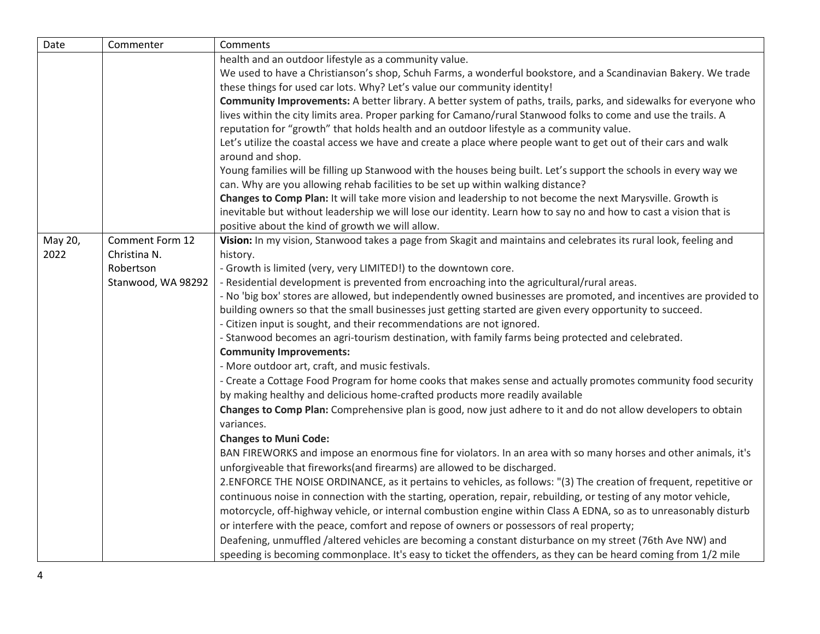| Date    | Commenter          | Comments                                                                                                             |
|---------|--------------------|----------------------------------------------------------------------------------------------------------------------|
|         |                    | health and an outdoor lifestyle as a community value.                                                                |
|         |                    | We used to have a Christianson's shop, Schuh Farms, a wonderful bookstore, and a Scandinavian Bakery. We trade       |
|         |                    | these things for used car lots. Why? Let's value our community identity!                                             |
|         |                    | Community Improvements: A better library. A better system of paths, trails, parks, and sidewalks for everyone who    |
|         |                    | lives within the city limits area. Proper parking for Camano/rural Stanwood folks to come and use the trails. A      |
|         |                    | reputation for "growth" that holds health and an outdoor lifestyle as a community value.                             |
|         |                    | Let's utilize the coastal access we have and create a place where people want to get out of their cars and walk      |
|         |                    | around and shop.                                                                                                     |
|         |                    | Young families will be filling up Stanwood with the houses being built. Let's support the schools in every way we    |
|         |                    | can. Why are you allowing rehab facilities to be set up within walking distance?                                     |
|         |                    | Changes to Comp Plan: It will take more vision and leadership to not become the next Marysville. Growth is           |
|         |                    | inevitable but without leadership we will lose our identity. Learn how to say no and how to cast a vision that is    |
|         |                    | positive about the kind of growth we will allow.                                                                     |
| May 20, | Comment Form 12    | Vision: In my vision, Stanwood takes a page from Skagit and maintains and celebrates its rural look, feeling and     |
| 2022    | Christina N.       | history.                                                                                                             |
|         | Robertson          | - Growth is limited (very, very LIMITED!) to the downtown core.                                                      |
|         | Stanwood, WA 98292 | - Residential development is prevented from encroaching into the agricultural/rural areas.                           |
|         |                    | - No 'big box' stores are allowed, but independently owned businesses are promoted, and incentives are provided to   |
|         |                    | building owners so that the small businesses just getting started are given every opportunity to succeed.            |
|         |                    | - Citizen input is sought, and their recommendations are not ignored.                                                |
|         |                    | - Stanwood becomes an agri-tourism destination, with family farms being protected and celebrated.                    |
|         |                    | <b>Community Improvements:</b>                                                                                       |
|         |                    | - More outdoor art, craft, and music festivals.                                                                      |
|         |                    | - Create a Cottage Food Program for home cooks that makes sense and actually promotes community food security        |
|         |                    | by making healthy and delicious home-crafted products more readily available                                         |
|         |                    | Changes to Comp Plan: Comprehensive plan is good, now just adhere to it and do not allow developers to obtain        |
|         |                    | variances.                                                                                                           |
|         |                    | <b>Changes to Muni Code:</b>                                                                                         |
|         |                    | BAN FIREWORKS and impose an enormous fine for violators. In an area with so many horses and other animals, it's      |
|         |                    | unforgiveable that fireworks(and firearms) are allowed to be discharged.                                             |
|         |                    | 2. ENFORCE THE NOISE ORDINANCE, as it pertains to vehicles, as follows: "(3) The creation of frequent, repetitive or |
|         |                    | continuous noise in connection with the starting, operation, repair, rebuilding, or testing of any motor vehicle,    |
|         |                    | motorcycle, off-highway vehicle, or internal combustion engine within Class A EDNA, so as to unreasonably disturb    |
|         |                    | or interfere with the peace, comfort and repose of owners or possessors of real property;                            |
|         |                    | Deafening, unmuffled /altered vehicles are becoming a constant disturbance on my street (76th Ave NW) and            |
|         |                    | speeding is becoming commonplace. It's easy to ticket the offenders, as they can be heard coming from 1/2 mile       |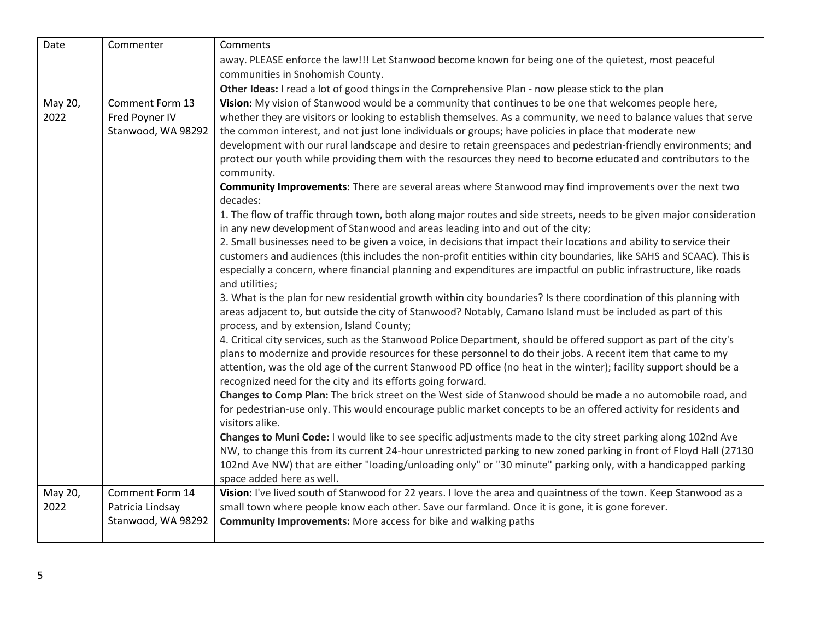| Date            | Commenter                                                 | Comments                                                                                                                                                                                                                                                                                                                                                                                                                                                                                                                                                                                  |
|-----------------|-----------------------------------------------------------|-------------------------------------------------------------------------------------------------------------------------------------------------------------------------------------------------------------------------------------------------------------------------------------------------------------------------------------------------------------------------------------------------------------------------------------------------------------------------------------------------------------------------------------------------------------------------------------------|
|                 |                                                           | away. PLEASE enforce the law!!! Let Stanwood become known for being one of the quietest, most peaceful                                                                                                                                                                                                                                                                                                                                                                                                                                                                                    |
|                 |                                                           | communities in Snohomish County.                                                                                                                                                                                                                                                                                                                                                                                                                                                                                                                                                          |
|                 |                                                           | Other Ideas: I read a lot of good things in the Comprehensive Plan - now please stick to the plan                                                                                                                                                                                                                                                                                                                                                                                                                                                                                         |
| May 20,<br>2022 | Comment Form 13<br>Fred Poyner IV<br>Stanwood, WA 98292   | Vision: My vision of Stanwood would be a community that continues to be one that welcomes people here,<br>whether they are visitors or looking to establish themselves. As a community, we need to balance values that serve<br>the common interest, and not just lone individuals or groups; have policies in place that moderate new<br>development with our rural landscape and desire to retain greenspaces and pedestrian-friendly environments; and<br>protect our youth while providing them with the resources they need to become educated and contributors to the<br>community. |
|                 |                                                           | Community Improvements: There are several areas where Stanwood may find improvements over the next two<br>decades:                                                                                                                                                                                                                                                                                                                                                                                                                                                                        |
|                 |                                                           | 1. The flow of traffic through town, both along major routes and side streets, needs to be given major consideration<br>in any new development of Stanwood and areas leading into and out of the city;                                                                                                                                                                                                                                                                                                                                                                                    |
|                 |                                                           | 2. Small businesses need to be given a voice, in decisions that impact their locations and ability to service their<br>customers and audiences (this includes the non-profit entities within city boundaries, like SAHS and SCAAC). This is<br>especially a concern, where financial planning and expenditures are impactful on public infrastructure, like roads<br>and utilities;                                                                                                                                                                                                       |
|                 |                                                           | 3. What is the plan for new residential growth within city boundaries? Is there coordination of this planning with<br>areas adjacent to, but outside the city of Stanwood? Notably, Camano Island must be included as part of this<br>process, and by extension, Island County;                                                                                                                                                                                                                                                                                                           |
|                 |                                                           | 4. Critical city services, such as the Stanwood Police Department, should be offered support as part of the city's<br>plans to modernize and provide resources for these personnel to do their jobs. A recent item that came to my<br>attention, was the old age of the current Stanwood PD office (no heat in the winter); facility support should be a<br>recognized need for the city and its efforts going forward.                                                                                                                                                                   |
|                 |                                                           | Changes to Comp Plan: The brick street on the West side of Stanwood should be made a no automobile road, and<br>for pedestrian-use only. This would encourage public market concepts to be an offered activity for residents and<br>visitors alike.                                                                                                                                                                                                                                                                                                                                       |
|                 |                                                           | Changes to Muni Code: I would like to see specific adjustments made to the city street parking along 102nd Ave<br>NW, to change this from its current 24-hour unrestricted parking to new zoned parking in front of Floyd Hall (27130<br>102nd Ave NW) that are either "loading/unloading only" or "30 minute" parking only, with a handicapped parking<br>space added here as well.                                                                                                                                                                                                      |
| May 20,<br>2022 | Comment Form 14<br>Patricia Lindsay<br>Stanwood, WA 98292 | Vision: I've lived south of Stanwood for 22 years. I love the area and quaintness of the town. Keep Stanwood as a<br>small town where people know each other. Save our farmland. Once it is gone, it is gone forever.<br><b>Community Improvements:</b> More access for bike and walking paths                                                                                                                                                                                                                                                                                            |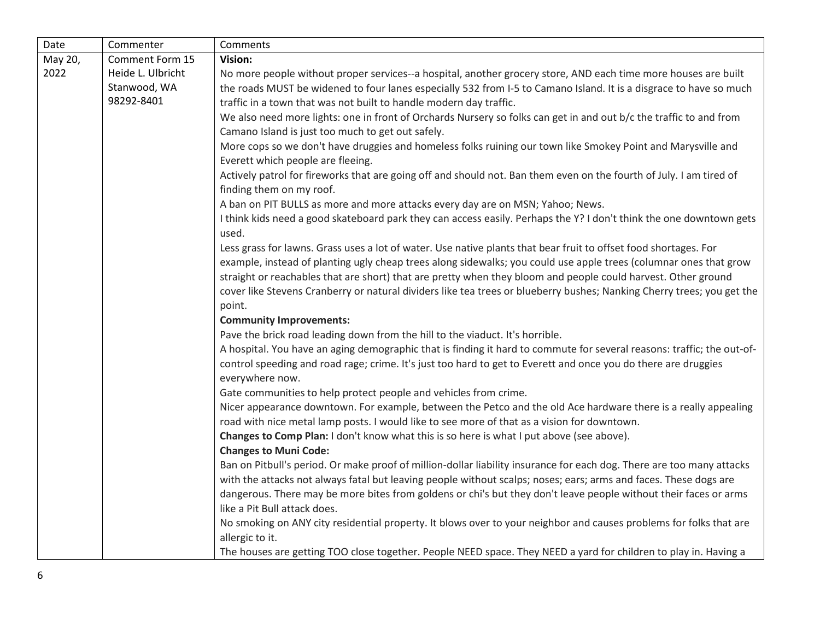| Date    | Commenter         | Comments                                                                                                               |
|---------|-------------------|------------------------------------------------------------------------------------------------------------------------|
| May 20, | Comment Form 15   | Vision:                                                                                                                |
| 2022    | Heide L. Ulbricht | No more people without proper services--a hospital, another grocery store, AND each time more houses are built         |
|         | Stanwood, WA      | the roads MUST be widened to four lanes especially 532 from I-5 to Camano Island. It is a disgrace to have so much     |
|         | 98292-8401        | traffic in a town that was not built to handle modern day traffic.                                                     |
|         |                   | We also need more lights: one in front of Orchards Nursery so folks can get in and out b/c the traffic to and from     |
|         |                   | Camano Island is just too much to get out safely.                                                                      |
|         |                   | More cops so we don't have druggies and homeless folks ruining our town like Smokey Point and Marysville and           |
|         |                   | Everett which people are fleeing.                                                                                      |
|         |                   | Actively patrol for fireworks that are going off and should not. Ban them even on the fourth of July. I am tired of    |
|         |                   | finding them on my roof.                                                                                               |
|         |                   | A ban on PIT BULLS as more and more attacks every day are on MSN; Yahoo; News.                                         |
|         |                   | I think kids need a good skateboard park they can access easily. Perhaps the Y? I don't think the one downtown gets    |
|         |                   | used.                                                                                                                  |
|         |                   | Less grass for lawns. Grass uses a lot of water. Use native plants that bear fruit to offset food shortages. For       |
|         |                   | example, instead of planting ugly cheap trees along sidewalks; you could use apple trees (columnar ones that grow      |
|         |                   | straight or reachables that are short) that are pretty when they bloom and people could harvest. Other ground          |
|         |                   | cover like Stevens Cranberry or natural dividers like tea trees or blueberry bushes; Nanking Cherry trees; you get the |
|         |                   | point.                                                                                                                 |
|         |                   | <b>Community Improvements:</b>                                                                                         |
|         |                   | Pave the brick road leading down from the hill to the viaduct. It's horrible.                                          |
|         |                   | A hospital. You have an aging demographic that is finding it hard to commute for several reasons: traffic; the out-of- |
|         |                   | control speeding and road rage; crime. It's just too hard to get to Everett and once you do there are druggies         |
|         |                   | everywhere now.                                                                                                        |
|         |                   | Gate communities to help protect people and vehicles from crime.                                                       |
|         |                   | Nicer appearance downtown. For example, between the Petco and the old Ace hardware there is a really appealing         |
|         |                   | road with nice metal lamp posts. I would like to see more of that as a vision for downtown.                            |
|         |                   | Changes to Comp Plan: I don't know what this is so here is what I put above (see above).                               |
|         |                   | <b>Changes to Muni Code:</b>                                                                                           |
|         |                   | Ban on Pitbull's period. Or make proof of million-dollar liability insurance for each dog. There are too many attacks  |
|         |                   | with the attacks not always fatal but leaving people without scalps; noses; ears; arms and faces. These dogs are       |
|         |                   | dangerous. There may be more bites from goldens or chi's but they don't leave people without their faces or arms       |
|         |                   | like a Pit Bull attack does.                                                                                           |
|         |                   | No smoking on ANY city residential property. It blows over to your neighbor and causes problems for folks that are     |
|         |                   | allergic to it.                                                                                                        |
|         |                   | The houses are getting TOO close together. People NEED space. They NEED a yard for children to play in. Having a       |